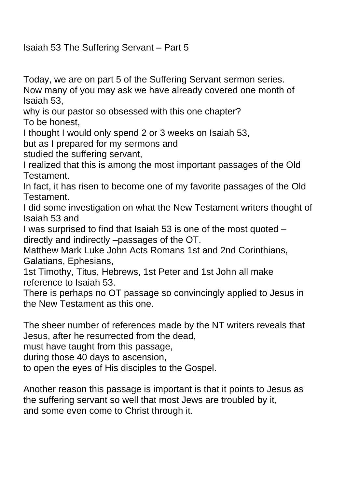Isaiah 53 The Suffering Servant – Part 5

Today, we are on part 5 of the Suffering Servant sermon series. Now many of you may ask we have already covered one month of Isaiah 53,

why is our pastor so obsessed with this one chapter?

To be honest,

I thought I would only spend 2 or 3 weeks on Isaiah 53,

but as I prepared for my sermons and

studied the suffering servant,

I realized that this is among the most important passages of the Old Testament.

In fact, it has risen to become one of my favorite passages of the Old Testament.

I did some investigation on what the New Testament writers thought of Isaiah 53 and

I was surprised to find that Isaiah 53 is one of the most quoted – directly and indirectly –passages of the OT.

Matthew Mark Luke John Acts Romans 1st and 2nd Corinthians, Galatians, Ephesians,

1st Timothy, Titus, Hebrews, 1st Peter and 1st John all make reference to Isaiah 53.

There is perhaps no OT passage so convincingly applied to Jesus in the New Testament as this one.

The sheer number of references made by the NT writers reveals that Jesus, after he resurrected from the dead,

must have taught from this passage,

during those 40 days to ascension,

to open the eyes of His disciples to the Gospel.

Another reason this passage is important is that it points to Jesus as the suffering servant so well that most Jews are troubled by it, and some even come to Christ through it.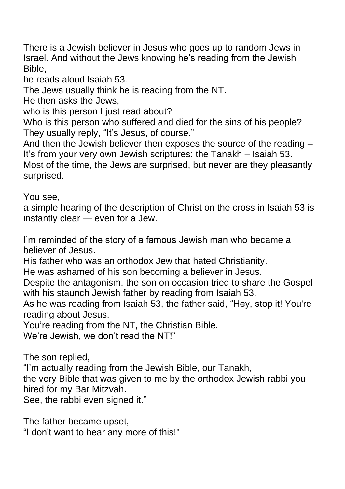There is a Jewish believer in Jesus who goes up to random Jews in Israel. And without the Jews knowing he's reading from the Jewish Bible,

he reads aloud Isaiah 53.

The Jews usually think he is reading from the NT.

He then asks the Jews,

who is this person I just read about?

Who is this person who suffered and died for the sins of his people? They usually reply, "It's Jesus, of course."

And then the Jewish believer then exposes the source of the reading – It's from your very own Jewish scriptures: the Tanakh – Isaiah 53. Most of the time, the Jews are surprised, but never are they pleasantly surprised.

You see,

a simple hearing of the description of Christ on the cross in Isaiah 53 is instantly clear — even for a Jew.

I'm reminded of the story of a famous Jewish man who became a believer of Jesus.

His father who was an orthodox Jew that hated Christianity.

He was ashamed of his son becoming a believer in Jesus.

Despite the antagonism, the son on occasion tried to share the Gospel with his staunch Jewish father by reading from Isaiah 53.

As he was reading from Isaiah 53, the father said, "Hey, stop it! You're reading about Jesus.

You're reading from the NT, the Christian Bible.

We're Jewish, we don't read the NT!"

The son replied,

"I'm actually reading from the Jewish Bible, our Tanakh,

the very Bible that was given to me by the orthodox Jewish rabbi you hired for my Bar Mitzvah.

See, the rabbi even signed it."

The father became upset,

"I don't want to hear any more of this!"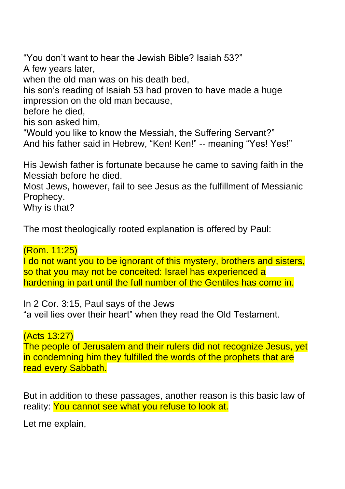"You don't want to hear the Jewish Bible? Isaiah 53?" A few years later, when the old man was on his death bed, his son's reading of Isaiah 53 had proven to have made a huge impression on the old man because, before he died, his son asked him, "Would you like to know the Messiah, the Suffering Servant?" And his father said in Hebrew, "Ken! Ken!" -- meaning "Yes! Yes!"

His Jewish father is fortunate because he came to saving faith in the Messiah before he died.

Most Jews, however, fail to see Jesus as the fulfillment of Messianic Prophecy.

Why is that?

The most theologically rooted explanation is offered by Paul:

(Rom. 11:25)

I do not want you to be ignorant of this mystery, brothers and sisters, so that you may not be conceited: Israel has experienced a hardening in part until the full number of the Gentiles has come in.

In 2 Cor. 3:15, Paul says of the Jews "a veil lies over their heart" when they read the Old Testament.

(Acts 13:27)

The people of Jerusalem and their rulers did not recognize Jesus, yet in condemning him they fulfilled the words of the prophets that are read every Sabbath.

But in addition to these passages, another reason is this basic law of reality: You cannot see what you refuse to look at.

Let me explain,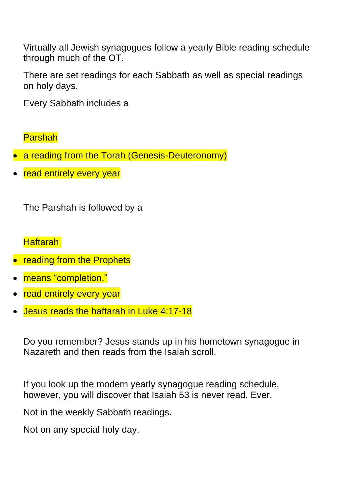Virtually all Jewish synagogues follow a yearly Bible reading schedule through much of the OT.

There are set readings for each Sabbath as well as special readings on holy days.

Every Sabbath includes a

Parshah

- a reading from the Torah (Genesis-Deuteronomy)
- read entirely every year

The Parshah is followed by a

Haftarah

- reading from the Prophets
- means "completion."
- read entirely every year
- Jesus reads the haftarah in Luke 4:17-18

Do you remember? Jesus stands up in his hometown synagogue in Nazareth and then reads from the Isaiah scroll.

If you look up the modern yearly synagogue reading schedule, however, you will discover that Isaiah 53 is never read. Ever.

Not in the weekly Sabbath readings.

Not on any special holy day.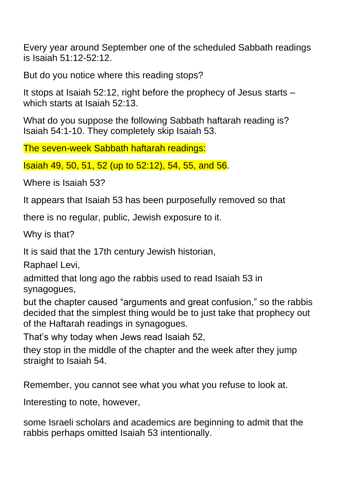Every year around September one of the scheduled Sabbath readings is Isaiah 51:12-52:12.

But do you notice where this reading stops?

It stops at Isaiah 52:12, right before the prophecy of Jesus starts – which starts at Isaiah 52:13.

What do you suppose the following Sabbath haftarah reading is? Isaiah 54:1-10. They completely skip Isaiah 53.

The seven-week Sabbath haftarah readings:

Isaiah 49, 50, 51, 52 (up to 52:12), 54, 55, and 56.

Where is Isaiah 53?

It appears that Isaiah 53 has been purposefully removed so that

there is no regular, public, Jewish exposure to it.

Why is that?

It is said that the 17th century Jewish historian,

Raphael Levi,

admitted that long ago the rabbis used to read Isaiah 53 in synagogues,

but the chapter caused "arguments and great confusion," so the rabbis decided that the simplest thing would be to just take that prophecy out of the Haftarah readings in synagogues.

That's why today when Jews read Isaiah 52,

they stop in the middle of the chapter and the week after they jump straight to Isaiah 54.

Remember, you cannot see what you what you refuse to look at.

Interesting to note, however,

some Israeli scholars and academics are beginning to admit that the rabbis perhaps omitted Isaiah 53 intentionally.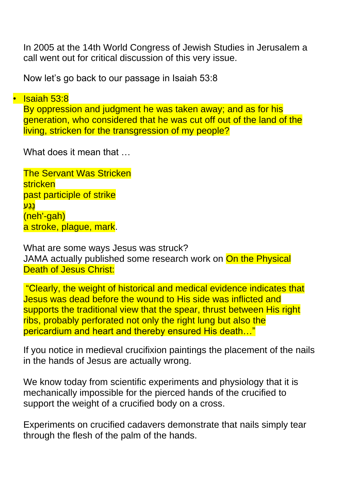In 2005 at the 14th World Congress of Jewish Studies in Jerusalem a call went out for critical discussion of this very issue.

Now let's go back to our passage in Isaiah 53:8

• Isaiah 53:8 By oppression and judgment he was taken away; and as for his generation, who considered that he was cut off out of the land of the living, stricken for the transgression of my people?

What does it mean that  $\ldots$ 

**The Servant Was Stricken** stricken past participle of strike נֶגַע (neh'-gah) a stroke, plague, mark.

What are some ways Jesus was struck? JAMA actually published some research work on On the Physical Death of Jesus Christ:

"Clearly, the weight of historical and medical evidence indicates that Jesus was dead before the wound to His side was inflicted and supports the traditional view that the spear, thrust between His right ribs, probably perforated not only the right lung but also the pericardium and heart and thereby ensured His death…"

If you notice in medieval crucifixion paintings the placement of the nails in the hands of Jesus are actually wrong.

We know today from scientific experiments and physiology that it is mechanically impossible for the pierced hands of the crucified to support the weight of a crucified body on a cross.

Experiments on crucified cadavers demonstrate that nails simply tear through the flesh of the palm of the hands.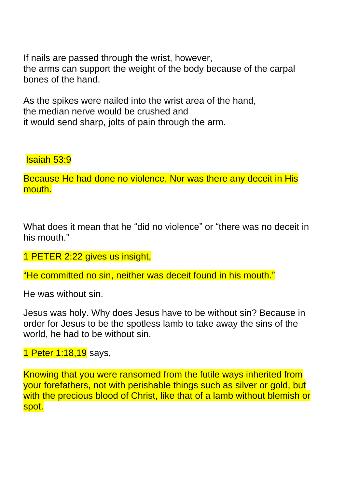If nails are passed through the wrist, however, the arms can support the weight of the body because of the carpal bones of the hand.

As the spikes were nailed into the wrist area of the hand, the median nerve would be crushed and it would send sharp, jolts of pain through the arm.

## Isaiah 53:9

Because He had done no violence, Nor was there any deceit in His mouth.

What does it mean that he "did no violence" or "there was no deceit in his mouth."

## 1 PETER 2:22 gives us insight,

"He committed no sin, neither was deceit found in his mouth."

He was without sin.

Jesus was holy. Why does Jesus have to be without sin? Because in order for Jesus to be the spotless lamb to take away the sins of the world, he had to be without sin.

1 Peter 1:18,19 says,

Knowing that you were ransomed from the futile ways inherited from your forefathers, not with perishable things such as silver or gold, but with the precious blood of Christ, like that of a lamb without blemish or spot.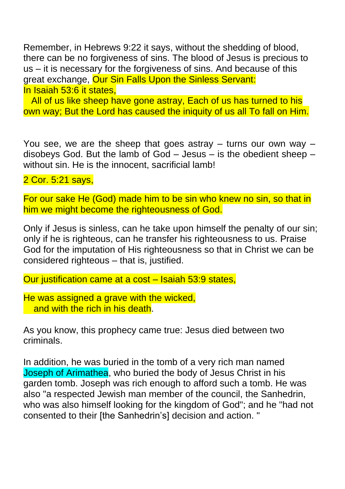Remember, in Hebrews 9:22 it says, without the shedding of blood, there can be no forgiveness of sins. The blood of Jesus is precious to us – it is necessary for the forgiveness of sins. And because of this great exchange, Our Sin Falls Upon the Sinless Servant: In Isaiah 53:6 it states,

All of us like sheep have gone astray, Each of us has turned to his own way; But the Lord has caused the iniquity of us all To fall on Him.

You see, we are the sheep that goes astray  $-$  turns our own way  $$ disobeys God. But the lamb of God – Jesus – is the obedient sheep – without sin. He is the innocent, sacrificial lamb!

2 Cor. 5:21 says,

For our sake He (God) made him to be sin who knew no sin, so that in him we might become the righteousness of God.

Only if Jesus is sinless, can he take upon himself the penalty of our sin; only if he is righteous, can he transfer his righteousness to us. Praise God for the imputation of His righteousness so that in Christ we can be considered righteous – that is, justified.

Our justification came at a cost – Isaiah 53:9 states,

He was assigned a grave with the wicked, and with the rich in his death.

As you know, this prophecy came true: Jesus died between two criminals.

In addition, he was buried in the tomb of a very rich man named Joseph of Arimathea, who buried the body of Jesus Christ in his garden tomb. Joseph was rich enough to afford such a tomb. He was also "a respected Jewish man member of the council, the Sanhedrin, who was also himself looking for the kingdom of God"; and he "had not consented to their [the Sanhedrin's] decision and action. "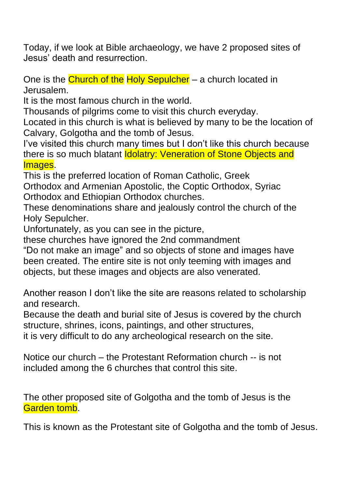Today, if we look at Bible archaeology, we have 2 proposed sites of Jesus' death and resurrection.

One is the Church of the Holy Sepulcher – a church located in Jerusalem.

It is the most famous church in the world.

Thousands of pilgrims come to visit this church everyday.

Located in this church is what is believed by many to be the location of Calvary, Golgotha and the tomb of Jesus.

I've visited this church many times but I don't like this church because there is so much blatant **Idolatry: Veneration of Stone Objects and** Images.

This is the preferred location of [Roman Catholic,](https://en.wikipedia.org/wiki/Roman_Catholic) [Greek](https://en.wikipedia.org/wiki/Greek_Orthodox)  [Orthodox](https://en.wikipedia.org/wiki/Greek_Orthodox) and [Armenian Apostolic,](https://en.wikipedia.org/wiki/Armenian_Apostolic_Church) the Coptic [Orthodox,](https://en.wikipedia.org/wiki/Coptic_Orthodox_Church_of_Alexandria) [Syriac](https://en.wikipedia.org/wiki/Syriac_Orthodox_Church)  [Orthodox](https://en.wikipedia.org/wiki/Syriac_Orthodox_Church) and [Ethiopian Orthodox](https://en.wikipedia.org/wiki/Ethiopian_Orthodox_Tewahedo_Church) churches.

These denominations [share](https://en.wikipedia.org/wiki/Simultaneum) and jealously control the church of the Holy Sepulcher.

Unfortunately, as you can see in the picture,

these churches have ignored the 2nd commandment

"Do not make an image" and so objects of stone and images have been created. The entire site is not only teeming with images and objects, but these images and objects are also venerated.

Another reason I don't like the site are reasons related to scholarship and research.

Because the death and burial site of Jesus is covered by the church structure, shrines, icons, paintings, and other structures,

it is very difficult to do any archeological research on the site.

Notice our church – the Protestant Reformation church -- is not included among the 6 churches that control this site.

The other proposed site of Golgotha and the tomb of Jesus is the Garden tomb.

This is known as the Protestant site of Golgotha and the tomb of Jesus.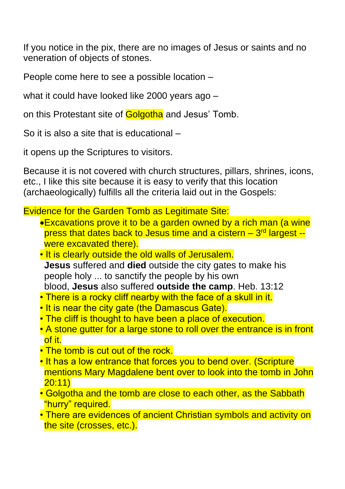If you notice in the pix, there are no images of Jesus or saints and no veneration of objects of stones.

People come here to see a possible location –

what it could have looked like 2000 years ago –

on this Protestant site of Golgotha and Jesus' Tomb.

So it is also a site that is educational –

it opens up the Scriptures to visitors.

Because it is not covered with church structures, pillars, shrines, icons, etc., I like this site because it is easy to verify that this location (archaeologically) fulfills all the criteria laid out in the Gospels:

Evidence for the Garden Tomb as Legitimate Site:

- •Excavations prove it to be a garden owned by a rich man (a wine press that dates back to Jesus time and a cistern – 3<sup>rd</sup> largest -were excavated there).
- It is clearly outside the old walls of Jerusalem. **Jesus** suffered and **died** outside the city gates to make his people holy ... to sanctify the people by his own blood, **Jesus** also suffered **outside the camp**. Heb. 13:12
- There is a rocky cliff nearby with the face of a skull in it.
- It is near the city gate (the Damascus Gate).
- The cliff is thought to have been a place of execution.
- A stone gutter for a large stone to roll over the entrance is in front of it.
- The tomb is cut out of the rock.
- It has a low entrance that forces you to bend over. (Scripture mentions Mary Magdalene bent over to look into the tomb in John 20:11)
- Golgotha and the tomb are close to each other, as the Sabbath "hurry" required.
- There are evidences of ancient Christian symbols and activity on the site (crosses, etc.).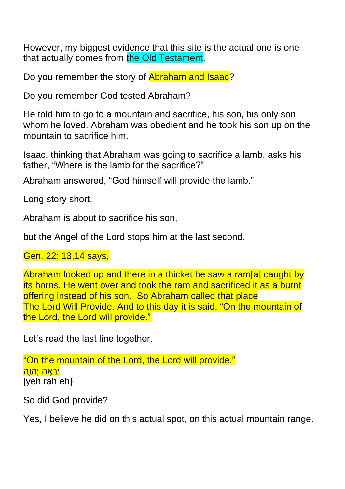However, my biggest evidence that this site is the actual one is one that actually comes from the Old Testament.

Do you remember the story of **Abraham and Isaac**?

Do you remember God tested Abraham?

He told him to go to a mountain and sacrifice, his son, his only son, whom he loved. Abraham was obedient and he took his son up on the mountain to sacrifice him.

Isaac, thinking that Abraham was going to sacrifice a lamb, asks his father, "Where is the lamb for the sacrifice?"

Abraham answered, "God himself will provide the lamb."

Long story short,

Abraham is about to sacrifice his son,

but the Angel of the Lord stops him at the last second.

Gen. 22: 13,14 says,

Abraham looked up and there in a thicket he saw a ram[\[a\]](https://www.biblegateway.com/passage/?search=Genesis+22&version=NIV#fen-NIV-561a) caught by its horns. He went over and took the ram and sacrificed it as a burnt offering instead of his son. So Abraham called that place The Lord Will Provide. And to this day it is said, "On the mountain of the Lord, the Lord will provide."

Let's read the last line together.

"On the mountain of the Lord, the Lord will provide." יֵר<u>אֶה יְהוָה</u> [yeh rah eh}

So did God provide?

Yes, I believe he did on this actual spot, on this actual mountain range.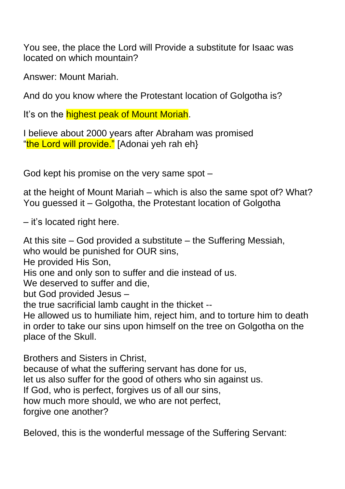You see, the place the Lord will Provide a substitute for Isaac was located on which mountain?

Answer: Mount Mariah.

And do you know where the Protestant location of Golgotha is?

It's on the **highest peak of Mount Moriah**.

I believe about 2000 years after Abraham was promised "the Lord will provide." [Adonai yeh rah eh}

God kept his promise on the very same spot –

at the height of Mount Mariah – which is also the same spot of? What? You guessed it – Golgotha, the Protestant location of Golgotha

– it's located right here.

At this site – God provided a substitute – the Suffering Messiah, who would be punished for OUR sins, He provided His Son, His one and only son to suffer and die instead of us. We deserved to suffer and die, but God provided Jesus – the true sacrificial lamb caught in the thicket -- He allowed us to humiliate him, reject him, and to torture him to death in order to take our sins upon himself on the tree on Golgotha on the place of the Skull.

Brothers and Sisters in Christ,

because of what the suffering servant has done for us,

let us also suffer for the good of others who sin against us.

If God, who is perfect, forgives us of all our sins,

how much more should, we who are not perfect,

forgive one another?

Beloved, this is the wonderful message of the Suffering Servant: